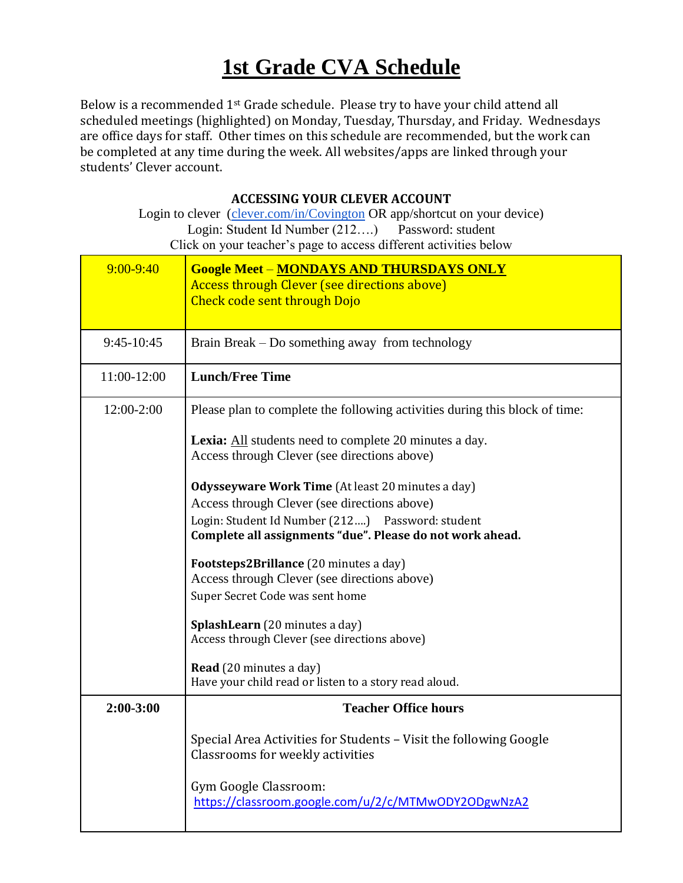## **1st Grade CVA Schedule**

Below is a recommended 1st Grade schedule. Please try to have your child attend all scheduled meetings (highlighted) on Monday, Tuesday, Thursday, and Friday. Wednesdays are office days for staff. Other times on this schedule are recommended, but the work can be completed at any time during the week. All websites/apps are linked through your students' Clever account.

## **ACCESSING YOUR CLEVER ACCOUNT**

Login to clever [\(clever.com/in/Covington](http://www.clever.com/in/Covington) OR app/shortcut on your device) Login: Student Id Number (212….) Password: student Click on your teacher's page to access different activities below

| $9:00 - 9:40$ | <b>Google Meet - MONDAYS AND THURSDAYS ONLY</b><br><b>Access through Clever (see directions above)</b><br><b>Check code sent through Dojo</b> |  |
|---------------|-----------------------------------------------------------------------------------------------------------------------------------------------|--|
| 9:45-10:45    | Brain Break – Do something away from technology                                                                                               |  |
| 11:00-12:00   | <b>Lunch/Free Time</b>                                                                                                                        |  |
| 12:00-2:00    | Please plan to complete the following activities during this block of time:                                                                   |  |
|               | Lexia: All students need to complete 20 minutes a day.<br>Access through Clever (see directions above)                                        |  |
|               | Odysseyware Work Time (At least 20 minutes a day)                                                                                             |  |
|               | Access through Clever (see directions above)                                                                                                  |  |
|               | Login: Student Id Number (212) Password: student<br>Complete all assignments "due". Please do not work ahead.                                 |  |
|               | Footsteps2Brillance (20 minutes a day)                                                                                                        |  |
|               | Access through Clever (see directions above)                                                                                                  |  |
|               | Super Secret Code was sent home                                                                                                               |  |
|               | SplashLearn (20 minutes a day)                                                                                                                |  |
|               | Access through Clever (see directions above)                                                                                                  |  |
|               | Read (20 minutes a day)                                                                                                                       |  |
|               | Have your child read or listen to a story read aloud.                                                                                         |  |
| $2:00-3:00$   | <b>Teacher Office hours</b>                                                                                                                   |  |
|               | Special Area Activities for Students - Visit the following Google<br>Classrooms for weekly activities                                         |  |
|               | Gym Google Classroom:<br>https://classroom.google.com/u/2/c/MTMwODY2ODgwNzA2                                                                  |  |